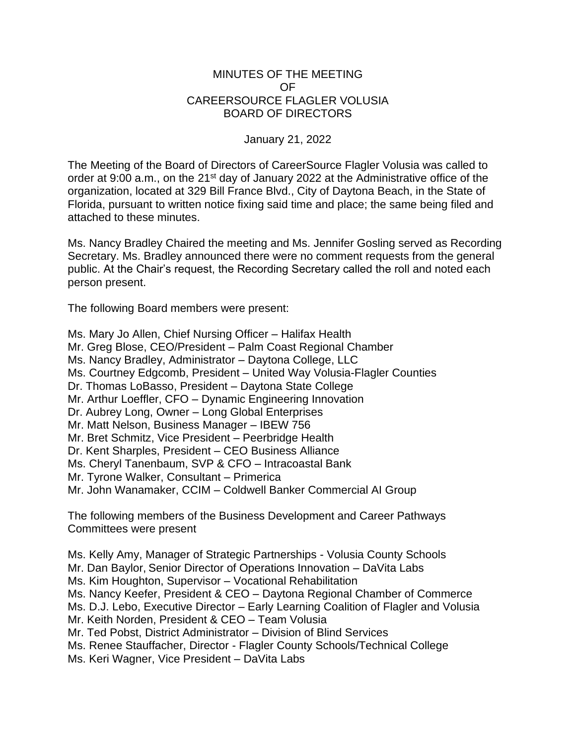## MINUTES OF THE MEETING OF CAREERSOURCE FLAGLER VOLUSIA BOARD OF DIRECTORS

## January 21, 2022

The Meeting of the Board of Directors of CareerSource Flagler Volusia was called to order at 9:00 a.m., on the 21<sup>st</sup> day of January 2022 at the Administrative office of the organization, located at 329 Bill France Blvd., City of Daytona Beach, in the State of Florida, pursuant to written notice fixing said time and place; the same being filed and attached to these minutes.

Ms. Nancy Bradley Chaired the meeting and Ms. Jennifer Gosling served as Recording Secretary. Ms. Bradley announced there were no comment requests from the general public. At the Chair's request, the Recording Secretary called the roll and noted each person present.

The following Board members were present:

Ms. Mary Jo Allen, Chief Nursing Officer – Halifax Health Mr. Greg Blose, CEO/President – Palm Coast Regional Chamber Ms. Nancy Bradley, Administrator – Daytona College, LLC Ms. Courtney Edgcomb, President – United Way Volusia-Flagler Counties Dr. Thomas LoBasso, President – Daytona State College Mr. Arthur Loeffler, CFO – Dynamic Engineering Innovation Dr. Aubrey Long, Owner – Long Global Enterprises Mr. Matt Nelson, Business Manager – IBEW 756 Mr. Bret Schmitz, Vice President – Peerbridge Health Dr. Kent Sharples, President – CEO Business Alliance Ms. Cheryl Tanenbaum, SVP & CFO – Intracoastal Bank Mr. Tyrone Walker, Consultant – Primerica Mr. John Wanamaker, CCIM – Coldwell Banker Commercial AI Group

The following members of the Business Development and Career Pathways Committees were present

Ms. Kelly Amy, Manager of Strategic Partnerships - Volusia County Schools Mr. Dan Baylor, Senior Director of Operations Innovation – DaVita Labs Ms. Kim Houghton, Supervisor – Vocational Rehabilitation Ms. Nancy Keefer, President & CEO – Daytona Regional Chamber of Commerce Ms. D.J. Lebo, Executive Director – Early Learning Coalition of Flagler and Volusia Mr. Keith Norden, President & CEO – Team Volusia Mr. Ted Pobst, District Administrator – Division of Blind Services Ms. Renee Stauffacher, Director - Flagler County Schools/Technical College Ms. Keri Wagner, Vice President – DaVita Labs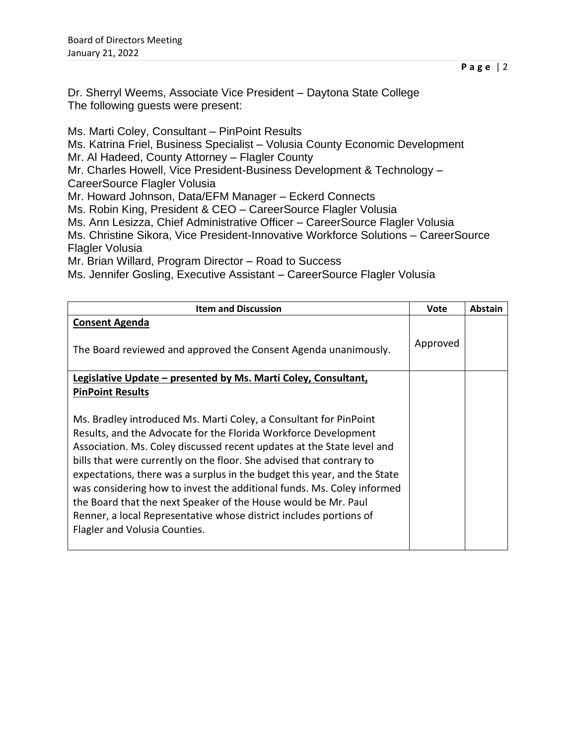Dr. Sherryl Weems, Associate Vice President – Daytona State College The following guests were present:

Ms. Marti Coley, Consultant – PinPoint Results Ms. Katrina Friel, Business Specialist – Volusia County Economic Development Mr. Al Hadeed, County Attorney – Flagler County Mr. Charles Howell, Vice President-Business Development & Technology – CareerSource Flagler Volusia Mr. Howard Johnson, Data/EFM Manager – Eckerd Connects Ms. Robin King, President & CEO – CareerSource Flagler Volusia Ms. Ann Lesizza, Chief Administrative Officer – CareerSource Flagler Volusia Ms. Christine Sikora, Vice President-Innovative Workforce Solutions – CareerSource Flagler Volusia Mr. Brian Willard, Program Director – Road to Success Ms. Jennifer Gosling, Executive Assistant – CareerSource Flagler Volusia

| <b>Item and Discussion</b>                                               | Vote     | <b>Abstain</b> |
|--------------------------------------------------------------------------|----------|----------------|
| <b>Consent Agenda</b>                                                    |          |                |
| The Board reviewed and approved the Consent Agenda unanimously.          | Approved |                |
| Legislative Update – presented by Ms. Marti Coley, Consultant,           |          |                |
| <b>PinPoint Results</b>                                                  |          |                |
|                                                                          |          |                |
| Ms. Bradley introduced Ms. Marti Coley, a Consultant for PinPoint        |          |                |
| Results, and the Advocate for the Florida Workforce Development          |          |                |
| Association. Ms. Coley discussed recent updates at the State level and   |          |                |
| bills that were currently on the floor. She advised that contrary to     |          |                |
| expectations, there was a surplus in the budget this year, and the State |          |                |
| was considering how to invest the additional funds. Ms. Coley informed   |          |                |
| the Board that the next Speaker of the House would be Mr. Paul           |          |                |
| Renner, a local Representative whose district includes portions of       |          |                |
| Flagler and Volusia Counties.                                            |          |                |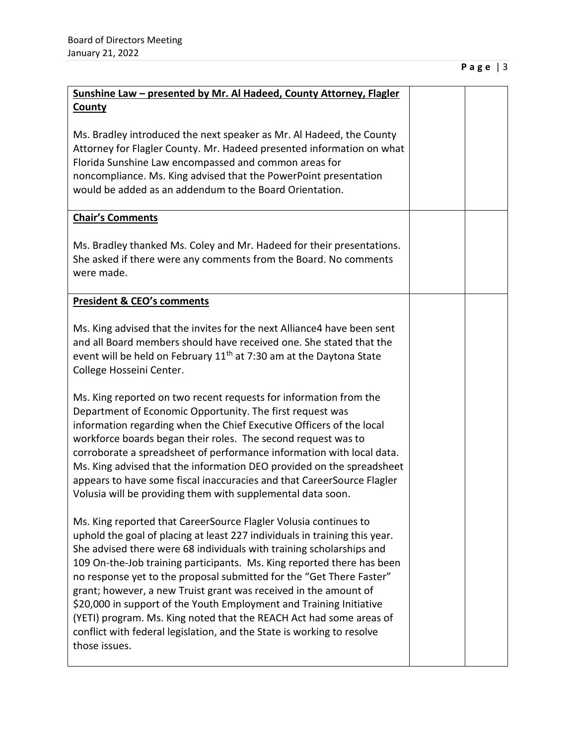| Sunshine Law - presented by Mr. Al Hadeed, County Attorney, Flagler                                                                                                                                                                                                                                                                                                                                                                                                                                                                                                                                                                                                                   |  |
|---------------------------------------------------------------------------------------------------------------------------------------------------------------------------------------------------------------------------------------------------------------------------------------------------------------------------------------------------------------------------------------------------------------------------------------------------------------------------------------------------------------------------------------------------------------------------------------------------------------------------------------------------------------------------------------|--|
|                                                                                                                                                                                                                                                                                                                                                                                                                                                                                                                                                                                                                                                                                       |  |
| <b>County</b>                                                                                                                                                                                                                                                                                                                                                                                                                                                                                                                                                                                                                                                                         |  |
| Ms. Bradley introduced the next speaker as Mr. Al Hadeed, the County<br>Attorney for Flagler County. Mr. Hadeed presented information on what<br>Florida Sunshine Law encompassed and common areas for<br>noncompliance. Ms. King advised that the PowerPoint presentation<br>would be added as an addendum to the Board Orientation.                                                                                                                                                                                                                                                                                                                                                 |  |
| <b>Chair's Comments</b>                                                                                                                                                                                                                                                                                                                                                                                                                                                                                                                                                                                                                                                               |  |
| Ms. Bradley thanked Ms. Coley and Mr. Hadeed for their presentations.<br>She asked if there were any comments from the Board. No comments<br>were made.                                                                                                                                                                                                                                                                                                                                                                                                                                                                                                                               |  |
| <b>President &amp; CEO's comments</b>                                                                                                                                                                                                                                                                                                                                                                                                                                                                                                                                                                                                                                                 |  |
| Ms. King advised that the invites for the next Alliance4 have been sent<br>and all Board members should have received one. She stated that the<br>event will be held on February 11 <sup>th</sup> at 7:30 am at the Daytona State                                                                                                                                                                                                                                                                                                                                                                                                                                                     |  |
| College Hosseini Center.                                                                                                                                                                                                                                                                                                                                                                                                                                                                                                                                                                                                                                                              |  |
| Ms. King reported on two recent requests for information from the<br>Department of Economic Opportunity. The first request was<br>information regarding when the Chief Executive Officers of the local<br>workforce boards began their roles. The second request was to<br>corroborate a spreadsheet of performance information with local data.<br>Ms. King advised that the information DEO provided on the spreadsheet<br>appears to have some fiscal inaccuracies and that CareerSource Flagler<br>Volusia will be providing them with supplemental data soon.                                                                                                                    |  |
| Ms. King reported that CareerSource Flagler Volusia continues to<br>uphold the goal of placing at least 227 individuals in training this year.<br>She advised there were 68 individuals with training scholarships and<br>109 On-the-Job training participants. Ms. King reported there has been<br>no response yet to the proposal submitted for the "Get There Faster"<br>grant; however, a new Truist grant was received in the amount of<br>\$20,000 in support of the Youth Employment and Training Initiative<br>(YETI) program. Ms. King noted that the REACH Act had some areas of<br>conflict with federal legislation, and the State is working to resolve<br>those issues. |  |